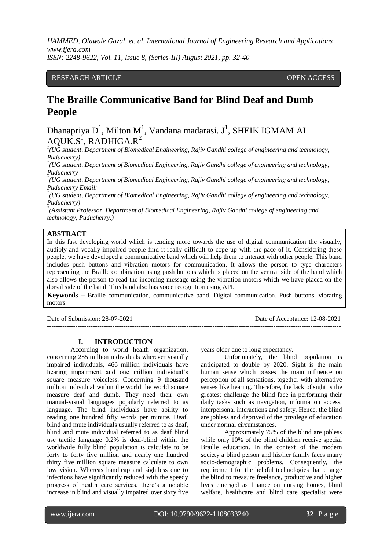# RESEARCH ARTICLE **CONSERVERS** OPEN ACCESS

# **The Braille Communicative Band for Blind Deaf and Dumb People**

Dhanapriya  $D^1$ , Milton M<sup>1</sup>, Vandana madarasi. J<sup>1</sup>, SHEIK IGMAM AI  $AQUK.S^1$ , RADHIGA.R<sup>2</sup>

*1 (UG student, Department of Biomedical Engineering, Rajiv Gandhi college of engineering and technology, Puducherry)*

*1 (UG student, Department of Biomedical Engineering, Rajiv Gandhi college of engineering and technology, Puducherry* 

*1 (UG student, Department of Biomedical Engineering, Rajiv Gandhi college of engineering and technology, Puducherry Email:*

<sup>1</sup>(UG student, Department of Biomedical Engineering, Rajiv Gandhi college of engineering and technology, *Puducherry)*

*2 (Assistant Professor, Department of Biomedical Engineering, Rajiv Gandhi college of engineering and technology, Puducherry.)*

#### **ABSTRACT**

In this fast developing world which is tending more towards the use of digital communication the visually, audibly and vocally impaired people find it really difficult to cope up with the pace of it. Considering these people, we have developed a communicative band which will help them to interact with other people. This band includes push buttons and vibration motors for communication. It allows the person to type characters representing the Braille combination using push buttons which is placed on the ventral side of the band which also allows the person to read the incoming message using the vibration motors which we have placed on the dorsal side of the band. This band also has voice recognition using API.

**Keywords –** Braille communication, communicative band, Digital communication, Push buttons, vibrating motors.

Date of Submission: 28-07-2021 Date of Acceptance: 12-08-2021 ---------------------------------------------------------------------------------------------------------------------------------------

# **I. INTRODUCTION**

---------------------------------------------------------------------------------------------------------------------------------------

According to world health organization, concerning 285 million individuals wherever visually impaired individuals, 466 million individuals have hearing impairment and one million individual's square measure voiceless. Concerning 9 thousand million individual within the world the world square measure deaf and dumb. They need their own manual-visual languages popularly referred to as language. The blind individuals have ability to reading one hundred fifty words per minute. Deaf, blind and mute individuals usually referred to as deaf, blind and mute individual referred to as deaf blind use tactile language 0.2% is deaf-blind within the worldwide fully blind population is calculate to be forty to forty five million and nearly one hundred thirty five million square measure calculate to own low vision. Whereas handicap and sightless due to infections have significantly reduced with the speedy progress of health care services, there's a notable increase in blind and visually impaired over sixty five

years older due to long expectancy.

Unfortunately, the blind population is anticipated to double by 2020. Sight is the main human sense which posses the main influence on perception of all sensations, together with alternative senses like hearing. Therefore, the lack of sight is the greatest challenge the blind face in performing their daily tasks such as navigation, information access, interpersonal interactions and safety. Hence, the blind are jobless and deprived of the privilege of education under normal circumstances.

Approximately 75% of the blind are jobless while only 10% of the blind children receive special Braille education. In the context of the modern society a blind person and his/her family faces many socio-demographic problems. Consequently, the requirement for the helpful technologies that change the blind to measure freelance, productive and higher lives emerged as finance on nursing homes, blind welfare, healthcare and blind care specialist were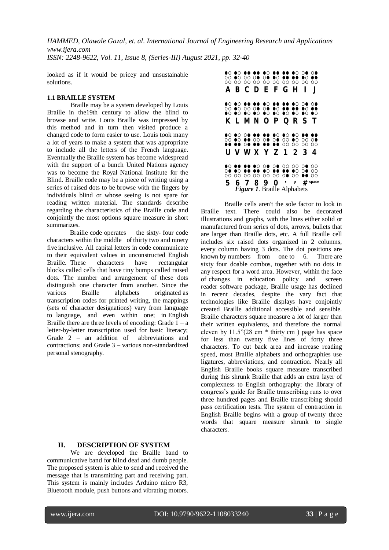looked as if it would be pricey and unsustainable solutions.

# **1.1 BRAILLE SYSTEM**

Braille may be a system developed by Louis Braille in the19th century to allow the blind to browse and write. Louis Braille was impressed by this method and in turn then visited produce a changed code to form easier to use. Louis took many a lot of years to make a system that was appropriate to include all the letters of the French language. Eventually the Braille system has become widespread with the support of a bunch United Nations agency was to become the Royal National Institute for the Blind. Braille code may be a piece of writing using a series of raised dots to be browse with the fingers by individuals blind or whose seeing is not spare for reading written material. The standards describe regarding the characteristics of the Braille code and conjointly the most options square measure in short summarizes.

Braille code operates the sixty- four code characters within the middle of thirty two and ninety five inclusive. All capital letters in code communicate to their equivalent values in unconstructed English Braille. These characters have rectangular blocks called cells that have tiny bumps called raised dots. The number and arrangement of these dots distinguish one character from another. Since the various Braille alphabets originated as [transcription c](https://en.wikipedia.org/wiki/Transcription_(linguistics))odes for printed writing, the mappings (sets of character designations) vary from language to language, and even within one; in [English](https://en.wikipedia.org/wiki/English_Braille)  [Braille t](https://en.wikipedia.org/wiki/English_Braille)here are three levels of encoding: Grade  $1 - a$ letter-by-letter transcription used for basic literacy; Grade 2 – an addition of abbreviations and contractions; and Grade 3 – various non-standardized personal stenography.

|   |  | 00 00 00 00 00 00 00 00 00 00<br>00 00 00 00 00 00 00 00 00 00<br>00 00 00 00 00 00 00 00 00 00<br><b>A B C D E F G H I</b>                  |  |  |                       |
|---|--|----------------------------------------------------------------------------------------------------------------------------------------------|--|--|-----------------------|
|   |  | 00 00 00 00 00 00 00 00 00 00<br>00 00 00 00 00 00 00 00 00 00<br>00 00 00 00 00 00 00 00 00 00<br><b>K L M N O P Q R S T</b>                |  |  |                       |
|   |  | 00 00 00 00 00 00 00 00 00 00<br>00 00 00 00 00 00 00 00 00 00<br>00 00 00 00 00 00 00 00 00 00                                              |  |  |                       |
| 5 |  | 00 00 00 00 00 00 00 00 00 00<br><b>00 00 00 00 00 00 00 00 00</b> 00<br>00 00 00 00 00 00 0● 00 ●● 00<br><b>Figure 1. Braille Alphabets</b> |  |  | 6 7 8 9 0 ' ' # space |

Braille cells aren't the sole factor to look in Braille text. There could also be decorated illustrations and graphs, with the lines either solid or manufactured from series of dots, arrows, bullets that are larger than Braille dots, etc. A full Braille cell includes six raised dots organized in 2 columns, every column having 3 dots. The dot positions are known by numbers from one to 6. There are sixty four doable combos, together with no dots in any respect for a word area. However, within the face of changes in education policy and screen reader software package, Braille usage has declined in recent decades, despite the vary fact that technologies like Braille displays have conjointly created Braille additional accessible and sensible. Braille characters square measure a lot of larger than their written equivalents, and therefore the normal eleven by  $11.5$ " $(28 \text{ cm} * \text{thirty cm})$  page has space for less than twenty five lines of forty three characters. To cut back area and increase reading speed, most Braille alphabets and orthographies use ligatures, abbreviations, and contraction. Nearly all English Braille books square measure transcribed during this shrunk Braille that adds an extra layer of complexness to English orthography: the library of congress's guide for Braille transcribing runs to over three hundred pages and Braille transcribing should pass certification tests. The system of contraction in English Braille begins with a group of twenty three words that square measure shrunk to single characters.

# **II. DESCRIPTION OF SYSTEM**

We are developed the Braille band to communicative band for blind deaf and dumb people. The proposed system is able to send and received the message that is transmitting part and receiving part. This system is mainly includes Arduino micro R3, Bluetooth module, push buttons and vibrating motors.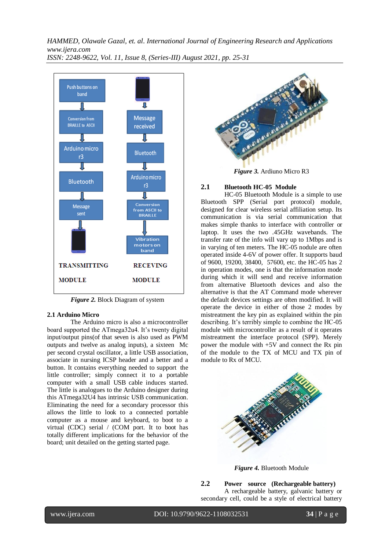

*Figure 2.* Block Diagram of system

# **2.1 Arduino Micro**

The Arduino micro is also a microcontroller board supported the ATmega32u4. It's twenty digital input/output pins(of that seven is also used as PWM outputs and twelve as analog inputs), a sixteen Mc per second crystal oscillator, a little USB association, associate in nursing ICSP header and a better and a button. It contains everything needed to support the little controller; simply connect it to a portable computer with a small USB cable induces started. The little is analogues to the Arduino designer during this ATmega32U4 has intrinsic USB communication. Eliminating the need for a secondary processor this allows the little to look to a connected portable computer as a mouse and keyboard, to boot to a virtual (CDC) serial / (COM port. It to boot has totally different implications for the behavior of the board; unit detailed on the getting started page.



*Figure 3.* Ardiuno Micro R3

#### **2.1 Bluetooth HC-05 Module**

HC-05 Bluetooth Module is a simple to use Bluetooth SPP (Serial port protocol) module, designed for clear wireless serial affiliation setup. Its communication is via serial communication that makes simple thanks to interface with controller or laptop. It uses the two .45GHz wavebands. The transfer rate of the info will vary up to 1Mbps and is in varying of ten meters. The HC-05 nodule are often operated inside 4-6V of power offer. It supports baud of 9600, 19200, 38400, 57600, etc. the HC-05 has 2 in operation modes, one is that the information mode during which it will send and receive information from alternative Bluetooth devices and also the alternative is that the AT Command mode wherever the default devices settings are often modified. It will operate the device in either of those 2 modes by mistreatment the key pin as explained within the pin describing. It's terribly simple to combine the HC-05 module with microcontroller as a result of it operates mistreatment the interface protocol (SPP). Merely power the module with +5V and connect the Rx pin of the module to the TX of MCU and TX pin of module to Rx of MCU.



*Figure 4.* Bluetooth Module

**2.2 Power source (Rechargeable battery)** A rechargeable battery, galvanic battery or secondary cell, could be a style of electrical battery

l

www.ijera.com DOI: 10.9790/9622-1108032531 **34** | P a g e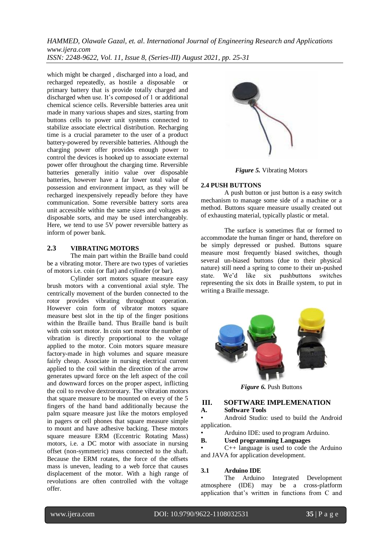which might be charged , discharged into a load, and recharged repeatedly, as hostile a disposable or primary battery that is provide totally charged and discharged when use. It's composed of 1 or additional chemical science cells. Reversible batteries area unit made in many various shapes and sizes, starting from buttons cells to power unit systems connected to stabilize associate electrical distribution. Recharging time is a crucial parameter to the user of a product battery-powered by reversible batteries. Although the charging power offer provides enough power to control the devices is hooked up to associate external power offer throughout the charging time. Reversible batteries generally initio value over disposable batteries, however have a far lower total value of possession and environment impact, as they will be recharged inexpensively repeadly before they have communication. Some reversible battery sorts area unit accessible within the same sizes and voltages as disposable sorts, and may be used interchangeably. Here, we tend to use 5V power reversible battery as inform of power bank.

# **2.3 VIBRATING MOTORS**

The main part within the Braille band could be a vibrating motor. There are two types of varieties of motors i.e. coin (or flat) and cylinder (or bar).

Cylinder sort motors square measure easy brush motors with a conventional axial style. The centrically movement of the burden connected to the rotor provides vibrating throughout operation. However coin form of vibrator motors square measure best slot in the tip of the finger positions within the Braille band. Thus Braille band is built with coin sort motor. In coin sort motor the number of vibration is directly proportional to the voltage applied to the motor. Coin motors square measure factory-made in high volumes and square measure fairly cheap. Associate in nursing electrical current applied to the coil within the direction of the arrow generates upward force on the left aspect of the coil and downward forces on the proper aspect, inflicting the coil to revolve dextrorotary. The vibration motors that square measure to be mounted on every of the 5 fingers of the hand band additionally because the palm square measure just like the motors employed in pagers or cell phones that square measure simple to mount and have adhesive backing. These motors square measure ERM (Eccentric Rotating Mass) motors, i.e. a DC motor with associate in nursing offset (non-symmetric) mass connected to the shaft. Because the ERM rotates, the force of the offsets mass is uneven, leading to a web force that causes displacement of the motor. With a high range of revolutions are often controlled with the voltage offer.



*Figure 5.* Vibrating Motors

# **2.4 PUSH BUTTONS**

A push button or just button is a easy switch mechanism to manage some side of a machine or a method. Buttons square measure usually created out of exhausting material, typically plastic or metal.

The surface is sometimes flat or formed to accommodate the human finger or hand, therefore on be simply depressed or pushed. Buttons square measure most frequently biased switches, though several un-biased buttons (due to their physical nature) still need a spring to come to their un-pushed state. We'd like six pushbuttons switches representing the six dots in Braille system, to put in writing a Braille message.



*Figure 6.* Push Buttons

# **III. SOFTWARE IMPLEMENATION**

**A. Software Tools**

• Android Studio: used to build the Android application.

• Arduino IDE: used to program Arduino.

#### **B. Used programming Languages**

 $C_{++}$  language is used to code the Arduino and JAVA for application development.

# **3.1 Arduino IDE**

The Arduino Integrated Development atmosphere (IDE) may be a cross-platform application that's written in functions from C and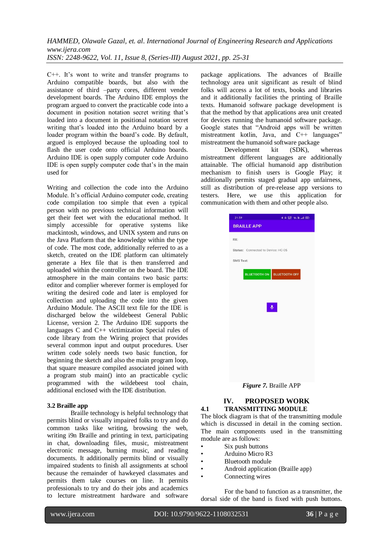C++. It's wont to write and transfer programs to Arduino compatible boards, but also with the assistance of third –party cores, different vender development boards. The Arduino IDE employs the program argued to convert the practicable code into a document in position notation secret writing that's loaded into a document in positional notation secret writing that's loaded into the Arduino board by a loader program within the board's code. By default, argued is employed because the uploading tool to flash the user code onto official Arduino boards. Arduino IDE is open supply computer code Arduino IDE is open supply computer code that's in the main used for

Writing and collection the code into the Arduino Module. It's official Arduino computer code, creating code compilation too simple that even a typical person with no previous technical information will get their feet wet with the educational method. It simply accessible for operative systems like mackintosh, windows, and UNIX system and runs on the Java Platform that the knowledge within the type of code. The most code, additionally referred to as a sketch, created on the IDE platform can ultimately generate a Hex file that is then transferred and uploaded within the controller on the board. The IDE atmosphere in the main contains two basic parts: editor and complier wherever former is employed for writing the desired code and later is employed for collection and uploading the code into the given Arduino Module. The ASCII text file for the IDE is discharged below the wildebeest General Public License, version 2. The Arduino IDE supports the languages C and C++ victimization Special rules of code library from the Wiring project that provides several common input and output procedures. User written code solely needs two basic function, for beginning the sketch and also the main program loop, that square measure compiled associated joined with a program stub main() into an practicable cyclic programmed with the wildebeest tool chain, additional enclosed with the IDE distribution.

#### **3.2 Braille app**

Braille technology is helpful technology that permits blind or visually impaired folks to try and do common tasks like writing, browsing the web, writing i9n Braille and printing in text, participating in chat, downloading files, music, mistreatment electronic message, burning music, and reading documents. It additionally permits blind or visually impaired students to finish all assignments at school because the remainder of hawkeyed classmates and permits them take courses on line. It permits professionals to try and do their jobs and academics to lecture mistreatment hardware and software

package applications. The advances of Braille technology area unit significant as result of blind folks will access a lot of texts, books and libraries and it additionally facilities the printing of Braille texts. Humanoid software package development is that the method by that applications area unit created for devices running the humanoid software package. Google states that "Android apps will be written mistreatment kotlin, Java, and C++ languages" mistreatment the humanoid software package

Development kit (SDK), whereas mistreatment different languages are additionally attainable. The official humanoid app distribution mechanism to finish users is Google Play; it additionally permits staged gradual app unfairness, still as distribution of pre-release app versions to testers. Here, we use this application for communication with them and other people also.

| 21:39                              | 49 第6 名前48                        |
|------------------------------------|-----------------------------------|
| <b>BRAILLE APP</b>                 |                                   |
| RX:                                |                                   |
| Status: Connected to Device: HC-05 |                                   |
|                                    |                                   |
| <b>SMS Text:</b>                   |                                   |
|                                    | <b>BLUETOOTH ON BLUETOOTH OFF</b> |
|                                    |                                   |
|                                    |                                   |
|                                    |                                   |
|                                    | $\ddot{\phantom{1}}$              |
|                                    |                                   |
|                                    |                                   |
|                                    |                                   |
|                                    |                                   |
|                                    |                                   |
|                                    |                                   |
|                                    |                                   |
|                                    |                                   |

*Figure 7.* Braille APP

#### **IV. PROPOSED WORK 4.1 TRANSMITTING MODULE**

The block diagram is that of the transmitting module which is discussed in detail in the coming section. The main components used in the transmitting module are as follows:

- Six push buttons
- Arduino Micro R3
- Bluetooth module
- Android application (Braille app)
- Connecting wires

For the band to function as a transmitter, the dorsal side of the band is fixed with push buttons.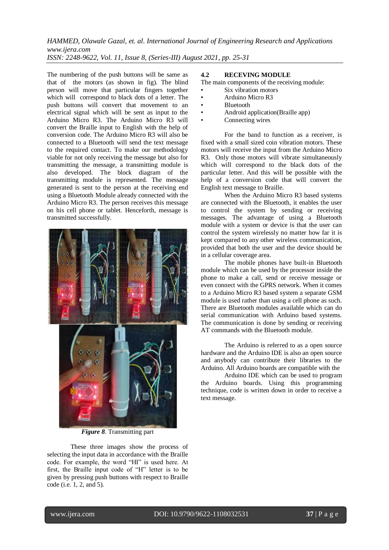The numbering of the push buttons will be same as that of the motors (as shown in fig). The blind person will move that particular fingers together which will correspond to black dots of a letter. The push buttons will convert that movement to an electrical signal which will be sent as input to the Arduino Micro R3. The Arduino Micro R3 will convert the Braille input to English with the help of conversion code. The Arduino Micro R3 will also be connected to a Bluetooth will send the text message to the required contact. To make our methodology viable for not only receiving the message but also for transmitting the message, a transmitting module is also developed. The block diagram of the transmitting module is represented. The message generated is sent to the person at the receiving end using a Bluetooth Module already connected with the Arduino Micro R3. The person receives this message on his cell phone or tablet. Henceforth, message is transmitted successfully.



*Figure 8.* Transmitting part

These three images show the process of selecting the input data in accordance with the Braille code. For example, the word "HI" is used here. At first, the Braille input code of "H" letter is to be given by pressing push buttons with respect to Braille code (i.e. 1, 2, and 5).

#### **4.2 RECEVING MODULE**

The main components of the receiving module:

- Six vibration motors
- Arduino Micro R3
- **Bluetooth**
- Android application(Braille app)
- Connecting wires

For the band to function as a receiver, is fixed with a small sized coin vibration motors. These motors will receive the input from the Arduino Micro R3. Only those motors will vibrate simultaneously which will correspond to the black dots of the particular letter. And this will be possible with the help of a conversion code that will convert the English text message to Braille.

When the Arduino Micro R3 based systems are connected with the Bluetooth, it enables the user to control the system by sending or receiving messages. The advantage of using a Bluetooth module with a system or device is that the user can control the system wirelessly no matter how far it is kept compared to any other wireless communication, provided that both the user and the device should be in a cellular coverage area.

The mobile phones have built-in Bluetooth module which can be used by the processor inside the phone to make a call, send or receive message or even connect with the GPRS network. When it comes to a Arduino Micro R3 based system a separate GSM module is used rather than using a cell phone as such. There are Bluetooth modules available which can do serial communication with Arduino based systems. The communication is done by sending or receiving AT commands with the Bluetooth module.

The Arduino is referred to as a open source hardware and the Arduino IDE is also an open source and anybody can contribute their libraries to the Arduino. All Arduino boards are compatible with the

Arduino IDE which can be used to program the Arduino boards. Using this programming technique, code is written down in order to receive a text message.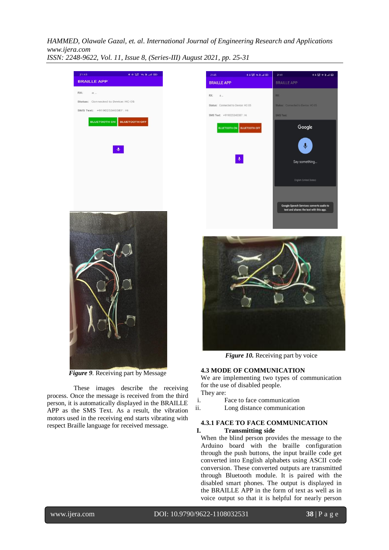

*Figure 9.* Receiving part by Message

 These images describe the receiving process. Once the message is received from the third person, it is automatically displayed in the BRAILLE APP as the SMS Text. As a result, the vibration motors used in the receiving end starts vibrating with respect Braille language for received message.





*Figure 10.* Receiving part by voice

#### **4.3 MODE OF COMMUNICATION**

We are implementing two types of communication for the use of disabled people. They are:

- 
- i. Face to face communication
- ii. Long distance communication

#### **4.3.1 FACE TO FACE COMMUNICATION I. Transmitting side**

When the blind person provides the message to the Arduino board with the braille configuration through the push buttons, the input braille code get converted into English alphabets using ASCII code conversion. These converted outputs are transmitted through Bluetooth module. It is paired with the disabled smart phones. The output is displayed in the BRAILLE APP in the form of text as well as in voice output so that it is helpful for nearly person

l

www.ijera.com DOI: 10.9790/9622-1108032531 **38** | P a g e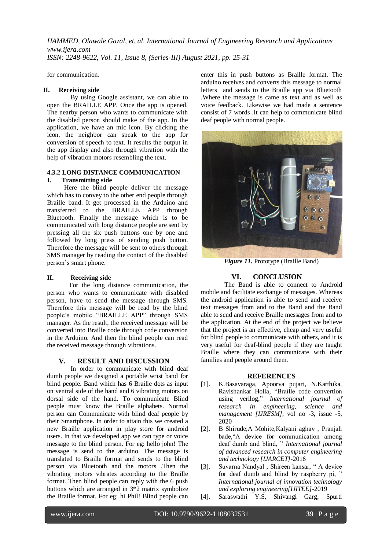for communication.

#### **II. Receiving side**

By using Google assistant, we can able to open the BRAILLE APP. Once the app is opened. The nearby person who wants to communicate with the disabled person should make of the app. In the application, we have an mic icon. By clicking the icon, the neighbor can speak to the app for conversion of speech to text. It results the output in the app display and also through vibration with the help of vibration motors resembling the text.

#### **4.3.2 LONG DISTANCE COMMUNICATION I. Transmitting side**

 Here the blind people deliver the message which has to convey to the other end people through Braille band. It get processed in the Arduino and transferred to the BRAILLE APP through Bluetooth. Finally the message which is to be communicated with long distance people are sent by pressing all the six push buttons one by one and followed by long press of sending push button. Therefore the message will be sent to others through SMS manager by reading the contact of the disabled person's smart phone.

#### **II. Receiving side**

 For the long distance communication, the person who wants to communicate with disabled person, have to send the message through SMS. Therefore this message will be read by the blind people's mobile "BRAILLE APP" through SMS manager. As the result, the received message will be converted into Braille code through code conversion in the Arduino. And then the blind people can read the received message through vibrations.

#### **V. RESULT AND DISCUSSION**

In order to communicate with blind deaf dumb people we designed a portable wrist band for blind people. Band which has 6 Braille dots as input on ventral side of the hand and 6 vibrating motors on dorsal side of the hand. To communicate Blind people must know the Braille alphabets. Normal person can Communicate with blind deaf people by their Smartphone. In order to attain this we created a new Braille application in play store for android users. In that we developed app we can type or voice message to the blind person. For eg: hello john! The message is send to the arduino. The message is translated to Braille format and sends to the blind person via Bluetooth and the motors .Then the vibrating motors vibrates according to the Braille format. Then blind people can reply with the 6 push buttons which are arranged in 3\*2 matrix symbolize the Braille format. For eg; hi Phil! Blind people can

enter this in push buttons as Braille format. The arduino receives and converts this message to normal letters and sends to the Braille app via Bluetooth .Where the message is came as text and as well as voice feedback. Likewise we had made a sentence consist of 7 words .It can help to communicate blind deaf people with normal people.



*Figure 11.* Prototype (Braille Band)

# **VI. CONCLUSION**

The Band is able to connect to Android mobile and facilitate exchange of messages. Whereas the android application is able to send and receive text messages from and to the Band and the Band able to send and receive Braille messages from and to the application. At the end of the project we believe that the project is an effective, cheap and very useful for blind people to communicate with others, and it is very useful for deaf-blind people if they are taught Braille where they can communicate with their families and people around them.

#### **REFERENCES**

- [1]. K.Basavaraga, Apoorva pujari, N.Karthika, Ravishankar Holla, "Braille code convertion using verilog," *International journal of research in engineering, science and management [IJRESM]*, vol no -3, issue -5, 2020
- [2]. B Shirude,A Mohite,Kalyani aghav , Pranjali bade,"A device for communication among deaf dumb and blind, " *International journal of advanced research in computer engineering and technology [IJARCET]*-2016
- [3]. Suvarna Nandyal , Shireen kansar, " A device for deaf dumb and blind by raspberry pi, " *International journal of innovation technology and exploring engineering[IJITEE]*-2019
- [4]. Saraswathi Y.S, Shivangi Garg, Spurti